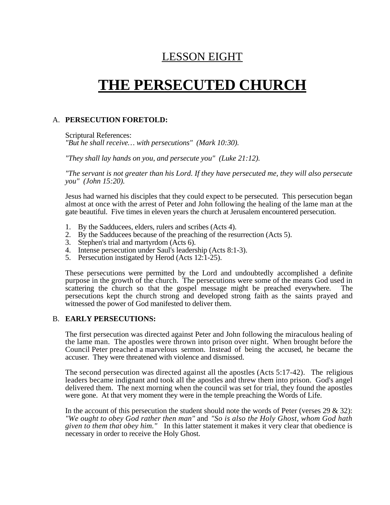## LESSON EIGHT

# **THE PERSECUTED CHURCH**

#### A. **PERSECUTION FORETOLD:**

Scriptural References: *"But he shall receive… with persecutions" (Mark 10:30).*

*"They shall lay hands on you, and persecute you" (Luke 21:12).*

*"The servant is not greater than his Lord. If they have persecuted me, they will also persecute you" (John 15:20).*

Jesus had warned his disciples that they could expect to be persecuted. This persecution began almost at once with the arrest of Peter and John following the healing of the lame man at the gate beautiful. Five times in eleven years the church at Jerusalem encountered persecution.

- 1. By the Sadducees, elders, rulers and scribes (Acts 4).
- 2. By the Sadducees because of the preaching of the resurrection (Acts 5).
- 3. Stephen's trial and martyrdom (Acts 6).
- 4. Intense persecution under Saul's leadership (Acts 8:1-3).
- 5. Persecution instigated by Herod (Acts 12:1-25).

These persecutions were permitted by the Lord and undoubtedly accomplished a definite purpose in the growth of the church. The persecutions were some of the means God used in scattering the church so that the gospel message might be preached everywhere. The persecutions kept the church strong and developed strong faith as the saints prayed and witnessed the power of God manifested to deliver them.

#### B. **EARLY PERSECUTIONS:**

The first persecution was directed against Peter and John following the miraculous healing of the lame man. The apostles were thrown into prison over night. When brought before the Council Peter preached a marvelous sermon. Instead of being the accused, he became the accuser. They were threatened with violence and dismissed.

The second persecution was directed against all the apostles (Acts 5:17-42). The religious leaders became indignant and took all the apostles and threw them into prison. God's angel delivered them. The next morning when the council was set for trial, they found the apostles were gone. At that very moment they were in the temple preaching the Words of Life.

In the account of this persecution the student should note the words of Peter (verses  $29 \& 32$ ): *"We ought to obey God rather then man"* and *"So is also the Holy Ghost, whom God hath given to them that obey him."* In this latter statement it makes it very clear that obedience is necessary in order to receive the Holy Ghost.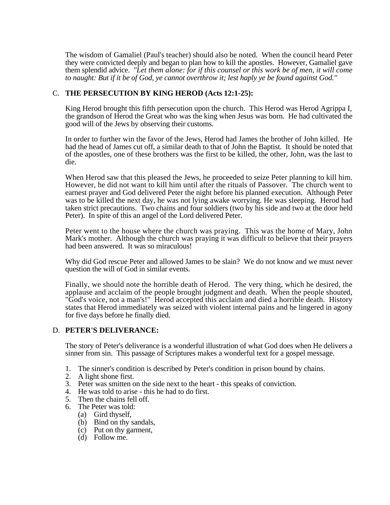The wisdom of Gamaliel (Paul's teacher) should also be noted. When the council heard Peter they were convicted deeply and began to plan how to kill the apostles. However, Gamaliel gave them splendid advice. *"Let them alone: for if this counsel or this work be of men, it will come to naught: But if it be of God, ye cannot overthrow it; lest haply ye be found against God."*

#### C. **THE PERSECUTION BY KING HEROD (Acts 12:1-25):**

King Herod brought this fifth persecution upon the church. This Herod was Herod Agrippa I, the grandson of Herod the Great who was the king when Jesus was born. He had cultivated the good will of the Jews by observing their customs.

In order to further win the favor of the Jews, Herod had James the brother of John killed. He had the head of James cut off, a similar death to that of John the Baptist. It should be noted that of the apostles, one of these brothers was the first to be killed, the other, John, was the last to die.

When Herod saw that this pleased the Jews, he proceeded to seize Peter planning to kill him. However, he did not want to kill him until after the rituals of Passover. The church went to earnest prayer and God delivered Peter the night before his planned execution. Although Peter was to be killed the next day, he was not lying awake worrying. He was sleeping. Herod had taken strict precautions. Two chains and four soldiers (two by his side and two at the door held Peter). In spite of this an angel of the Lord delivered Peter.

Peter went to the house where the church was praying. This was the home of Mary, John Mark's mother. Although the church was praying it was difficult to believe that their prayers had been answered. It was so miraculous!

Why did God rescue Peter and allowed James to be slain? We do not know and we must never question the will of God in similar events.

Finally, we should note the horrible death of Herod. The very thing, which he desired, the applause and acclaim of the people brought judgment and death. When the people shouted, "God's voice, not a man's!" Herod accepted this acclaim and died a horrible death. History states that Herod immediately was seized with violent internal pains and he lingered in agony for five days before he finally died.

#### D. **PETER'S DELIVERANCE:**

The story of Peter's deliverance is a wonderful illustration of what God does when He delivers a sinner from sin. This passage of Scriptures makes a wonderful text for a gospel message.

- 1. The sinner's condition is described by Peter's condition in prison bound by chains.
- 2. A light shone first.
- 3. Peter was smitten on the side next to the heart this speaks of conviction.
- 4. He was told to arise this he had to do first.
- 5. Then the chains fell off.
- 6. The Peter was told:
	- (a) Gird thyself,
	- (b) Bind on thy sandals,
	- (c) Put on thy garment,
	- $(d)$  Follow me.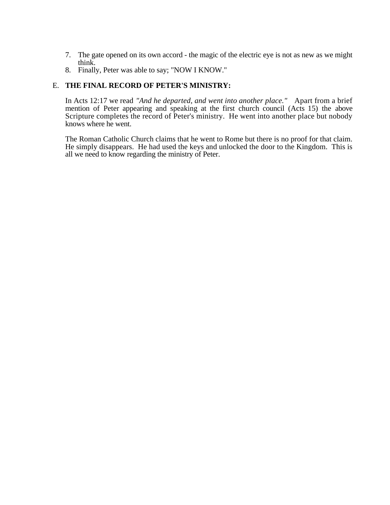- 7. The gate opened on its own accord the magic of the electric eye is not as new as we might think.
- 8. Finally, Peter was able to say; "NOW I KNOW."

#### E. **THE FINAL RECORD OF PETER'S MINISTRY:**

In Acts 12:17 we read "And he departed, and went into another place." Apart from a brief mention of Peter appearing and speaking at the first church council (Acts 15) the above Scripture completes the record of Peter's ministry. He went into another place but nobody knows where he went.

The Roman Catholic Church claims that he went to Rome but there is no proof for that claim. He simply disappears. He had used the keys and unlocked the door to the Kingdom. This is all we need to know regarding the ministry of Peter.